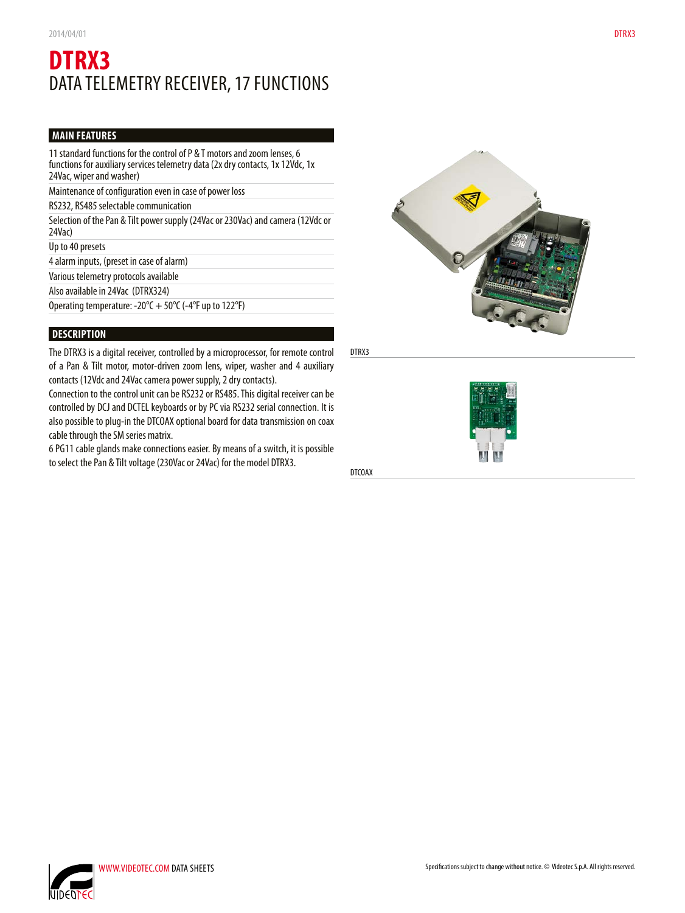# **DTRX3** DATA TELEMETRY RECEIVER, 17 FUNCTIONS

# **MAIN FEATURES**

11 standard functions for the control of P & T motors and zoom lenses, 6 functions for auxiliary services telemetry data (2x dry contacts, 1x 12Vdc, 1x 24Vac, wiper and washer)

Maintenance of configuration even in case of power loss

RS232, RS485 selectable communication

Selection of the Pan & Tilt power supply (24Vac or 230Vac) and camera (12Vdc or 24Vac)

Up to 40 presets

4 alarm inputs, (preset in case of alarm)

Various telemetry protocols available

Also available in 24Vac (DTRX324)

Operating temperature: -20 $\degree$ C + 50 $\degree$ C (-4 $\degree$ F up to 122 $\degree$ F)

## **DESCRIPTION**

The DTRX3 is a digital receiver, controlled by a microprocessor, for remote control of a Pan & Tilt motor, motor-driven zoom lens, wiper, washer and 4 auxiliary contacts (12Vdc and 24Vac camera power supply, 2 dry contacts).

Connection to the control unit can be RS232 or RS485. This digital receiver can be controlled by DCJ and DCTEL keyboards or by PC via RS232 serial connection. It is also possible to plug-in the DTCOAX optional board for data transmission on coax cable through the SM series matrix.

6 PG11 cable glands make connections easier. By means of a switch, it is possible to select the Pan & Tilt voltage (230Vac or 24Vac) for the model DTRX3.



DTRX3



DTCOAX

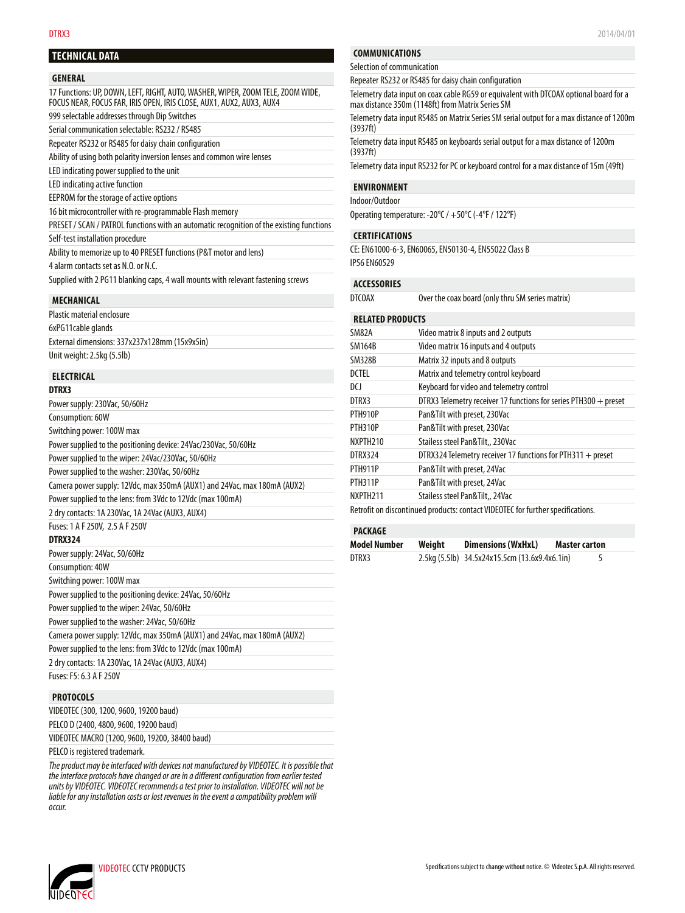## **TECHNICAL DATA**

### **GENERAL**

17 Functions: UP, DOWN, LEFT, RIGHT, AUTO, WASHER, WIPER, ZOOM TELE, ZOOM WIDE, FOCUS NEAR, FOCUS FAR, IRIS OPEN, IRIS CLOSE, AUX1, AUX2, AUX3, AUX4 999 selectable addresses through Dip Switches

Serial communication selectable: RS232 / RS485 Repeater RS232 or RS485 for daisy chain configuration

Ability of using both polarity inversion lenses and common wire lenses

LED indicating power supplied to the unit

LED indicating active function

EEPROM for the storage of active options

16 bit microcontroller with re-programmable Flash memory

PRESET / SCAN / PATROL functions with an automatic recognition of the existing functions Self-test installation procedure

Ability to memorize up to 40 PRESET functions (P&T motor and lens)

4 alarm contacts set as N.O. or N.C.

 $P_{\text{max}}$  supply supply supply

Supplied with 2 PG11 blanking caps, 4 wall mounts with relevant fastening screws

#### **MECHANICAL**

| Plastic material enclosure                    |
|-----------------------------------------------|
| 6xPG11cable glands                            |
| External dimensions: 337x237x128mm (15x9x5in) |
| Unit weight: 2.5kg (5.5lb)                    |

## **ELECTRICAL**

**DTRX3**

Consumption: 40W

Switching power: 100W max

Power supplied to the positioning device: 24Vac, 50/60Hz

Power supplied to the wiper: 24Vac, 50/60Hz

Power supplied to the washer: 24Vac, 50/60Hz

Camera power supply: 12Vdc, max 350mA (AUX1) and 24Vac, max 180mA (AUX2)

Power supplied to the lens: from 3Vdc to 12Vdc (max 100mA)

2 dry contacts: 1A 230Vac, 1A 24Vac (AUX3, AUX4)

Fuses: F5: 6.3 A F 250V

## **PROTOCOLS**

| VIDEOTEC (300, 1200, 9600, 19200 baud)         |  |
|------------------------------------------------|--|
| PELCO D (2400, 4800, 9600, 19200 baud)         |  |
| VIDEOTEC MACRO (1200, 9600, 19200, 38400 baud) |  |
|                                                |  |

PELCO is registered trademark.

*The product may be interfaced with devices not manufactured by VIDEOTEC. It is possible that the interface protocols have changed or are in a different configuration from earlier tested units by VIDEOTEC. VIDEOTEC recommends a test prior to installation. VIDEOTEC will not be liable for any installation costs or lost revenues in the event a compatibility problem will occur.*

## **COMMUNICATIONS**

Selection of communication

Repeater RS232 or RS485 for daisy chain configuration

Telemetry data input on coax cable RG59 or equivalent with DTCOAX optional board for a max distance 350m (1148ft) from Matrix Series SM

Telemetry data input RS485 on Matrix Series SM serial output for a max distance of 1200m (3937ft)

Telemetry data input RS485 on keyboards serial output for a max distance of 1200m (3937ft)

Telemetry data input RS232 for PC or keyboard control for a max distance of 15m (49ft)

## **ENVIRONMENT**

Indoor/Outdoor

Operating temperature: -20°C / +50°C (-4°F / 122°F)

### **CERTIFICATIONS**

CE: EN61000-6-3, EN60065, EN50130-4, EN55022 Class B IP56 EN60529

### **ACCESSORIES**

DTCOAX Over the coax board (only thru SM series matrix)

### **RELATED PRODUCTS**

| SM82A                | Video matrix 8 inputs and 2 outputs                                             |
|----------------------|---------------------------------------------------------------------------------|
| <b>SM164B</b>        | Video matrix 16 inputs and 4 outputs                                            |
| <b>SM328B</b>        | Matrix 32 inputs and 8 outputs                                                  |
| <b>DCTEL</b>         | Matrix and telemetry control keyboard                                           |
| DCI                  | Keyboard for video and telemetry control                                        |
| DTRX3                | DTRX3 Telemetry receiver 17 functions for series PTH300 $+$ preset              |
| <b>PTH910P</b>       | Pan&Tilt with preset, 230Vac                                                    |
| <b>PTH310P</b>       | Pan&Tilt with preset, 230Vac                                                    |
| NXPTH <sub>210</sub> | Stailess steel Pan&Tilt., 230Vac                                                |
| DTRX324              | DTRX324 Telemetry receiver 17 functions for PTH311 $+$ preset                   |
| <b>PTH911P</b>       | Pan&Tilt with preset, 24Vac                                                     |
| <b>PTH311P</b>       | Pan&Tilt with preset, 24Vac                                                     |
| NXPTH <sub>211</sub> | Stailess steel Pan&Tilt,, 24Vac                                                 |
|                      | Retrofit on discontinued products: contact VIDEOTEC for further specifications. |

## **PACKAGE**

| Model Number | Weight | <b>Dimensions (WxHxL)</b>                     | <b>Master carton</b> |  |
|--------------|--------|-----------------------------------------------|----------------------|--|
| DTRX3        |        | 2.5kg (5.5lb) 34.5x24x15.5cm (13.6x9.4x6.1in) |                      |  |

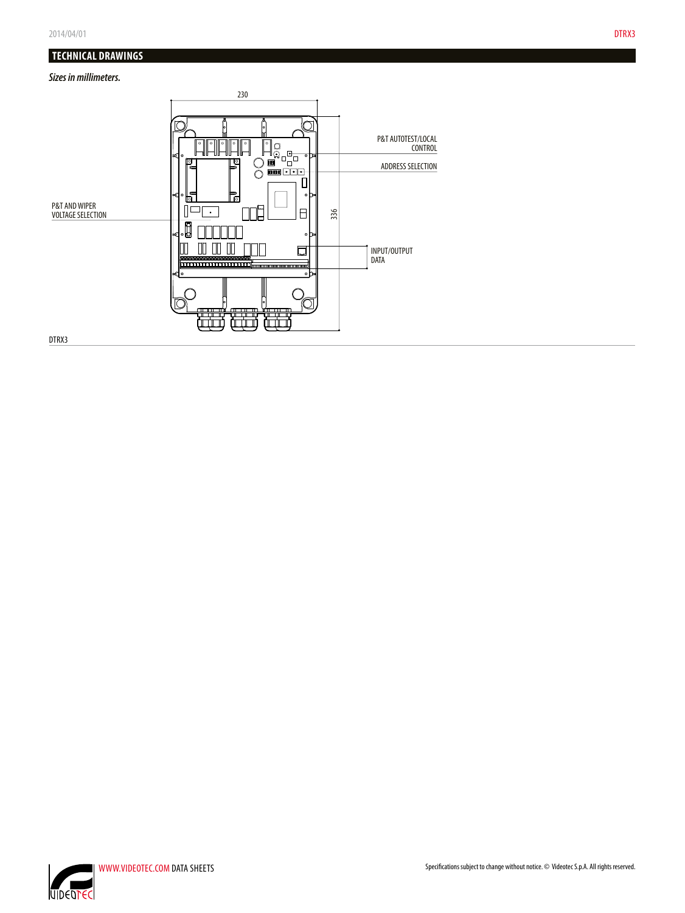# **TECHNICAL DRAWINGS**

# *Sizes in millimeters.*